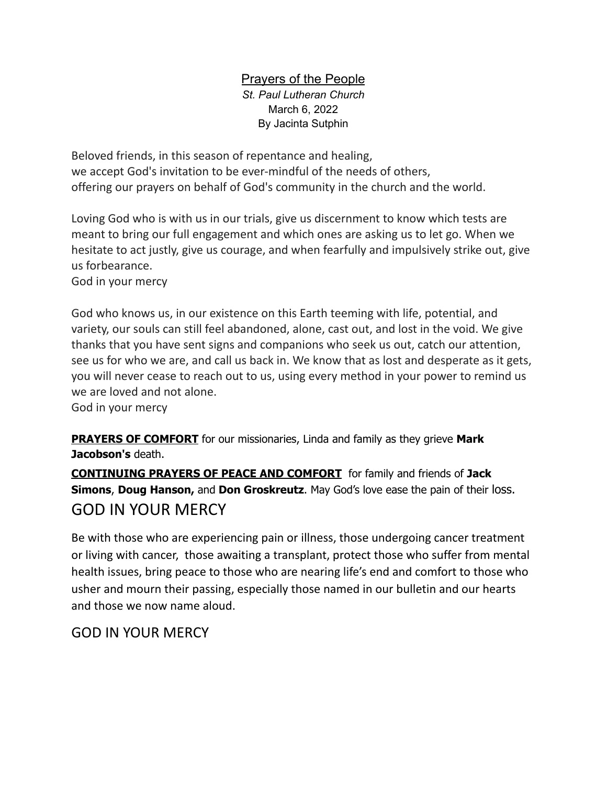## Prayers of the People *St. Paul Lutheran Church* March 6, 2022

By Jacinta Sutphin

Beloved friends, in this season of repentance and healing, we accept God's invitation to be ever-mindful of the needs of others, offering our prayers on behalf of God's community in the church and the world.

Loving God who is with us in our trials, give us discernment to know which tests are meant to bring our full engagement and which ones are asking us to let go. When we hesitate to act justly, give us courage, and when fearfully and impulsively strike out, give us forbearance.

God in your mercy

God who knows us, in our existence on this Earth teeming with life, potential, and variety, our souls can still feel abandoned, alone, cast out, and lost in the void. We give thanks that you have sent signs and companions who seek us out, catch our attention, see us for who we are, and call us back in. We know that as lost and desperate as it gets, you will never cease to reach out to us, using every method in your power to remind us we are loved and not alone.

God in your mercy

**PRAYERS OF COMFORT** for our missionaries, Linda and family as they grieve **Mark Jacobson's** death.

**CONTINUING PRAYERS OF PEACE AND COMFORT** for family and friends of **Jack Simons**, **Doug Hanson,** and **Don Groskreutz**. May God's love ease the pain of their loss. GOD IN YOUR MERCY

Be with those who are experiencing pain or illness, those undergoing cancer treatment or living with cancer, those awaiting a transplant, protect those who suffer from mental health issues, bring peace to those who are nearing life's end and comfort to those who usher and mourn their passing, especially those named in our bulletin and our hearts and those we now name aloud.

## GOD IN YOUR MERCY